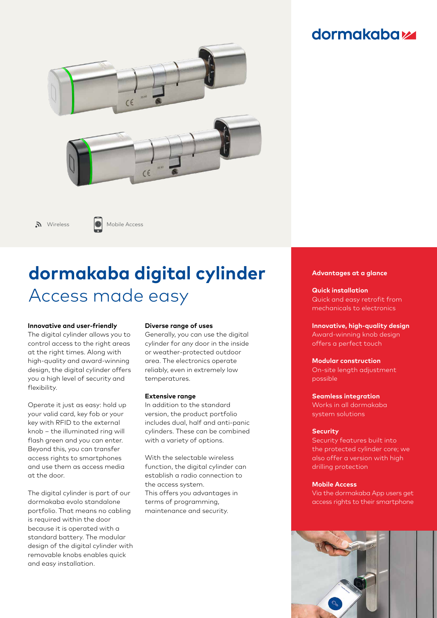# **dormakabazz**



 $\mathcal{N}$  Wireless **Mobile Access** 

# **dormakaba digital cylinder** Access made easy

#### **Innovative and user-friendly**

The digital cylinder allows you to control access to the right areas at the right times. Along with high-quality and award-winning design, the digital cylinder offers you a high level of security and flexibility.

Operate it just as easy: hold up your valid card, key fob or your key with RFID to the external knob – the illuminated ring will flash green and you can enter. Beyond this, you can transfer access rights to smartphones and use them as access media at the door.

The digital cylinder is part of our dormakaba evolo standalone portfolio. That means no cabling is required within the door because it is operated with a standard battery. The modular design of the digital cylinder with removable knobs enables quick and easy installation.

#### **Diverse range of uses**

Generally, you can use the digital cylinder for any door in the inside or weather-protected outdoor area. The electronics operate reliably, even in extremely low temperatures.

#### **Extensive range**

In addition to the standard version, the product portfolio includes dual, half and anti-panic cylinders. These can be combined with a variety of options.

With the selectable wireless function, the digital cylinder can establish a radio connection to the access system. This offers you advantages in terms of programming, maintenance and security.

#### **Advantages at a glance**

**Quick installation**  Quick and easy retrofit from mechanicals to electronics

**Innovative, high-quality design** Award-winning knob design offers a perfect touch

**Modular construction** On-site length adjustment possible

#### **Seamless integration**

Works in all dormakaba system solutions

#### **Security**

Security features built into the protected cylinder core; we also offer a version with high drilling protection

#### **Mobile Access**

Via the dormakaba App users get access rights to their smartphone